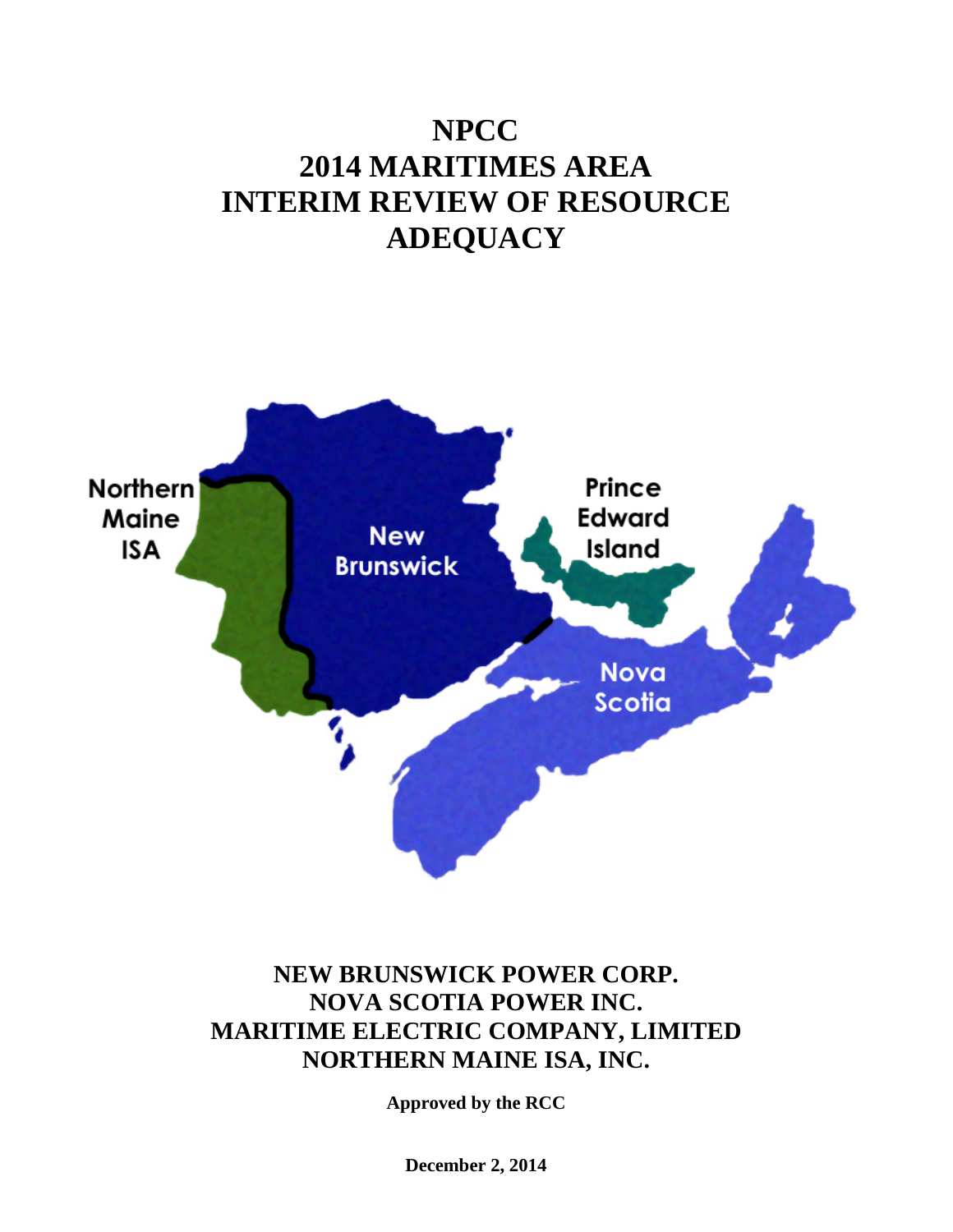

# **NEW BRUNSWICK POWER CORP. NOVA SCOTIA POWER INC. MARITIME ELECTRIC COMPANY, LIMITED NORTHERN MAINE ISA, INC.**

**Approved by the RCC**

**December 2, 2014**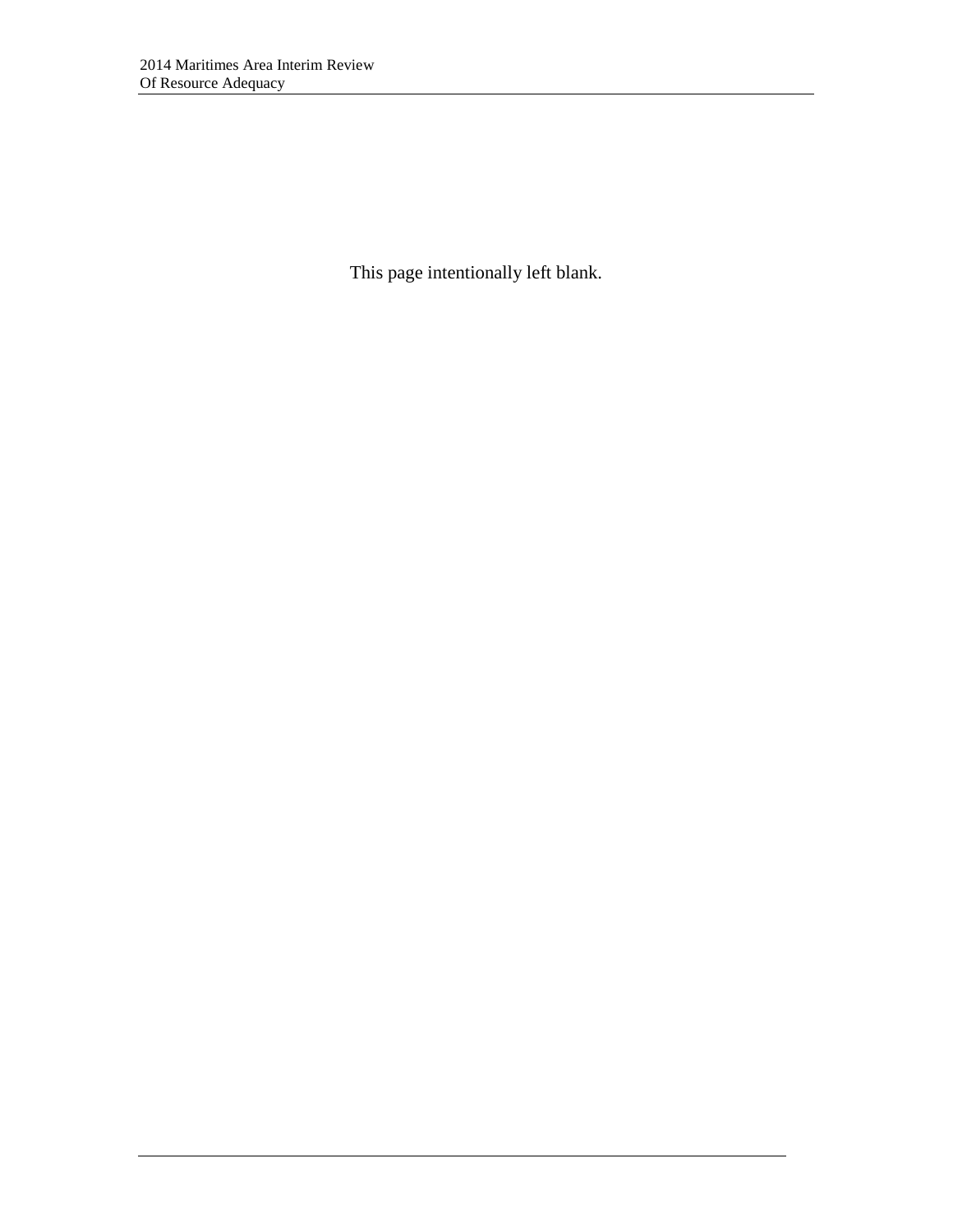This page intentionally left blank.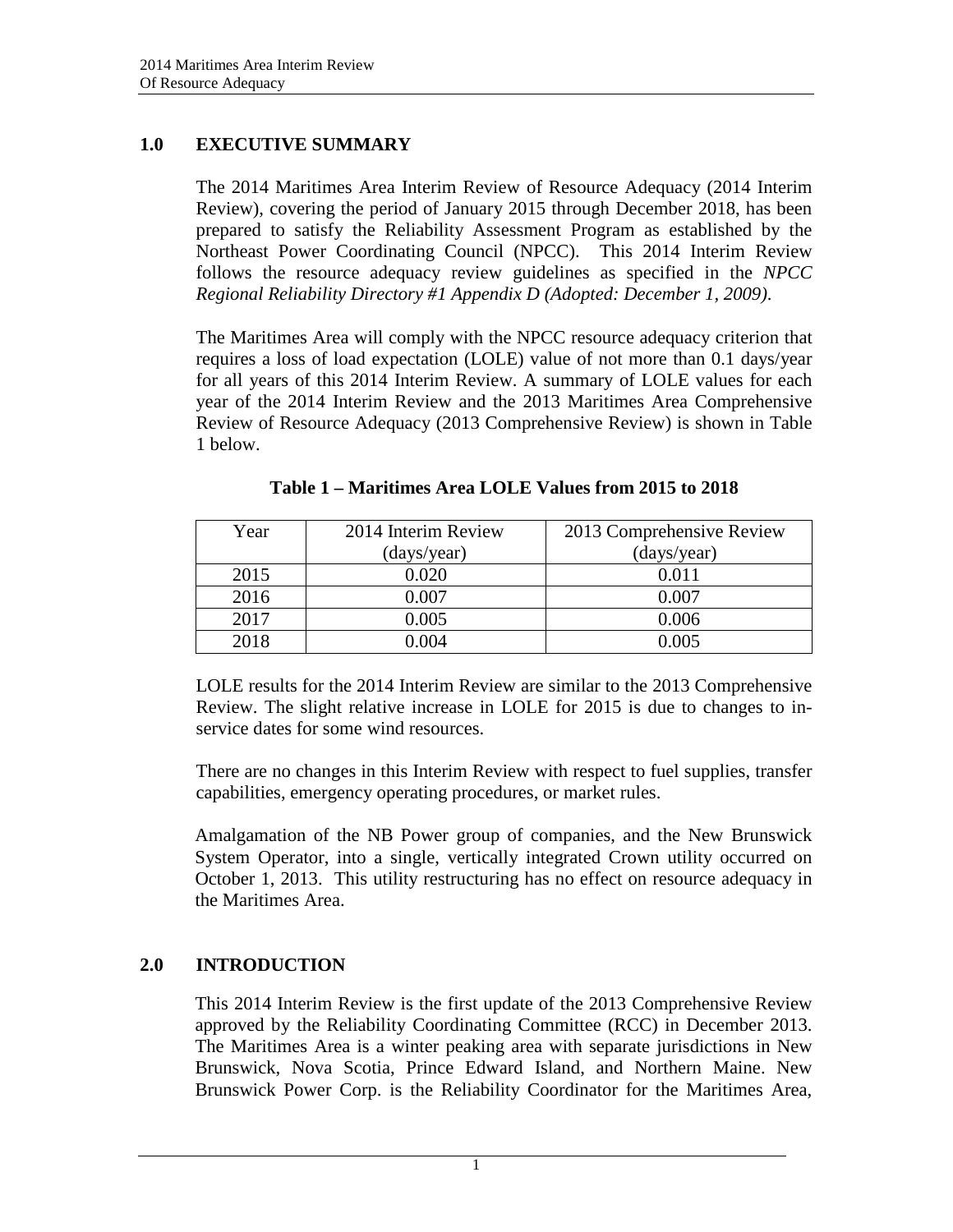## **1.0 EXECUTIVE SUMMARY**

The 2014 Maritimes Area Interim Review of Resource Adequacy (2014 Interim Review), covering the period of January 2015 through December 2018, has been prepared to satisfy the Reliability Assessment Program as established by the Northeast Power Coordinating Council (NPCC). This 2014 Interim Review follows the resource adequacy review guidelines as specified in the *NPCC Regional Reliability Directory #1 Appendix D (Adopted: December 1, 2009)*.

The Maritimes Area will comply with the NPCC resource adequacy criterion that requires a loss of load expectation (LOLE) value of not more than 0.1 days/year for all years of this 2014 Interim Review. A summary of LOLE values for each year of the 2014 Interim Review and the 2013 Maritimes Area Comprehensive Review of Resource Adequacy (2013 Comprehensive Review) is shown in Table 1 below.

| Year | 2014 Interim Review | 2013 Comprehensive Review |  |
|------|---------------------|---------------------------|--|
|      | (days/year)         | (days/year)               |  |
| 2015 | 0.020               | 0.011                     |  |
| 2016 | 0.007               | 0.007                     |  |
| 2017 | 0.005               | 0.006                     |  |
| 2018 | 0.004               | 0.005                     |  |

**Table 1 – Maritimes Area LOLE Values from 2015 to 2018**

LOLE results for the 2014 Interim Review are similar to the 2013 Comprehensive Review. The slight relative increase in LOLE for 2015 is due to changes to inservice dates for some wind resources.

There are no changes in this Interim Review with respect to fuel supplies, transfer capabilities, emergency operating procedures, or market rules.

Amalgamation of the NB Power group of companies, and the New Brunswick System Operator, into a single, vertically integrated Crown utility occurred on October 1, 2013. This utility restructuring has no effect on resource adequacy in the Maritimes Area.

## **2.0 INTRODUCTION**

This 2014 Interim Review is the first update of the 2013 Comprehensive Review approved by the Reliability Coordinating Committee (RCC) in December 2013. The Maritimes Area is a winter peaking area with separate jurisdictions in New Brunswick, Nova Scotia, Prince Edward Island, and Northern Maine. New Brunswick Power Corp. is the Reliability Coordinator for the Maritimes Area,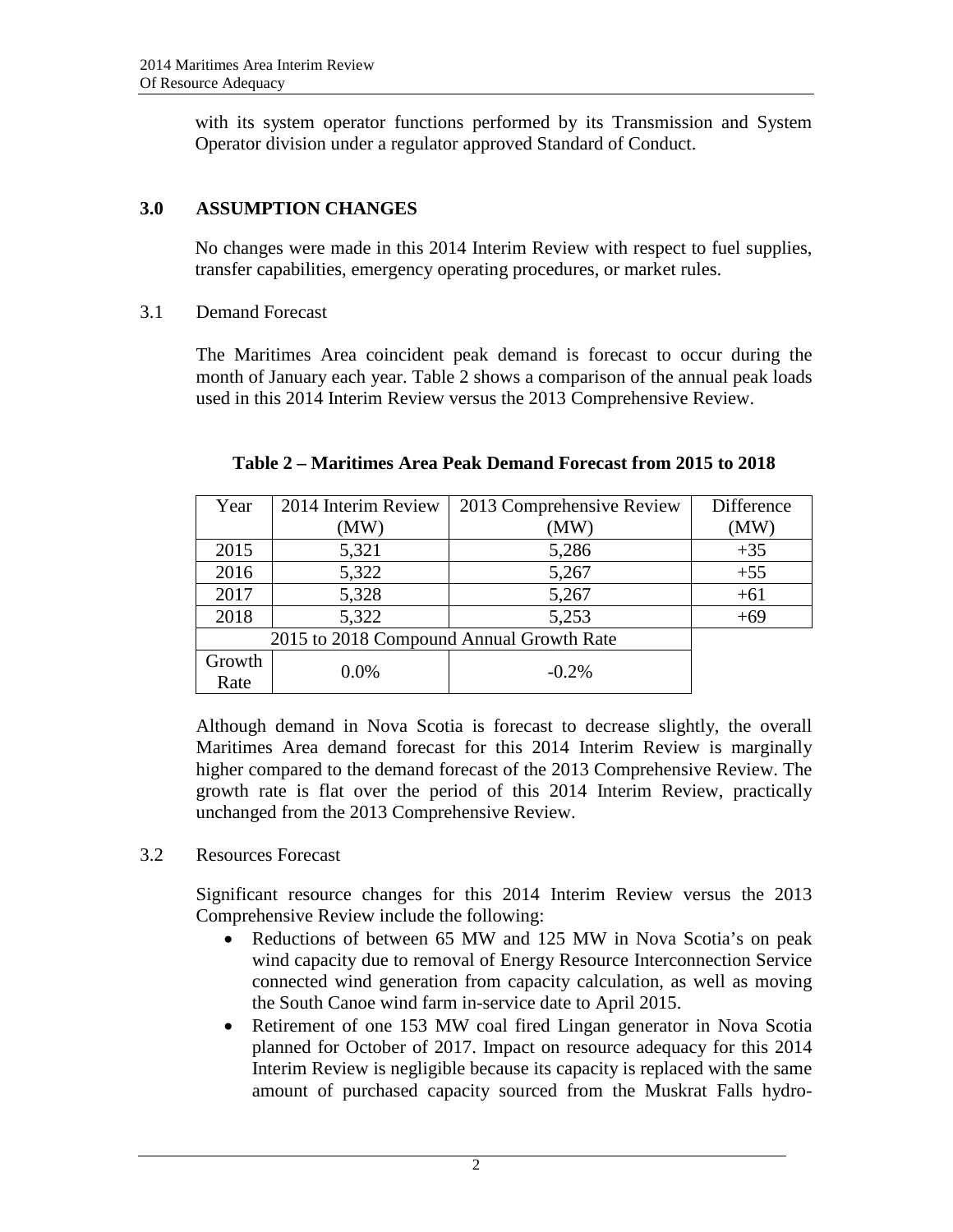with its system operator functions performed by its Transmission and System Operator division under a regulator approved Standard of Conduct.

#### **3.0 ASSUMPTION CHANGES**

No changes were made in this 2014 Interim Review with respect to fuel supplies, transfer capabilities, emergency operating procedures, or market rules.

3.1 Demand Forecast

The Maritimes Area coincident peak demand is forecast to occur during the month of January each year. Table 2 shows a comparison of the annual peak loads used in this 2014 Interim Review versus the 2013 Comprehensive Review.

| Year                                     | 2014 Interim Review<br>(MW) | 2013 Comprehensive Review<br>$(\mathbf{MW})$ | Difference<br>(MW) |
|------------------------------------------|-----------------------------|----------------------------------------------|--------------------|
| 2015                                     | 5,321                       | 5,286                                        | $+35$              |
| 2016                                     | 5,322                       | 5,267                                        | $+55$              |
| 2017                                     | 5,328                       | 5,267                                        | $+61$              |
| 2018                                     | 5,322                       | 5,253                                        | $+69$              |
| 2015 to 2018 Compound Annual Growth Rate |                             |                                              |                    |
| Growth                                   | 0.0%                        | $-0.2\%$                                     |                    |
| Rate                                     |                             |                                              |                    |

**Table 2 – Maritimes Area Peak Demand Forecast from 2015 to 2018**

Although demand in Nova Scotia is forecast to decrease slightly, the overall Maritimes Area demand forecast for this 2014 Interim Review is marginally higher compared to the demand forecast of the 2013 Comprehensive Review. The growth rate is flat over the period of this 2014 Interim Review, practically unchanged from the 2013 Comprehensive Review.

#### 3.2 Resources Forecast

Significant resource changes for this 2014 Interim Review versus the 2013 Comprehensive Review include the following:

- Reductions of between 65 MW and 125 MW in Nova Scotia's on peak wind capacity due to removal of Energy Resource Interconnection Service connected wind generation from capacity calculation, as well as moving the South Canoe wind farm in-service date to April 2015.
- Retirement of one 153 MW coal fired Lingan generator in Nova Scotia planned for October of 2017. Impact on resource adequacy for this 2014 Interim Review is negligible because its capacity is replaced with the same amount of purchased capacity sourced from the Muskrat Falls hydro-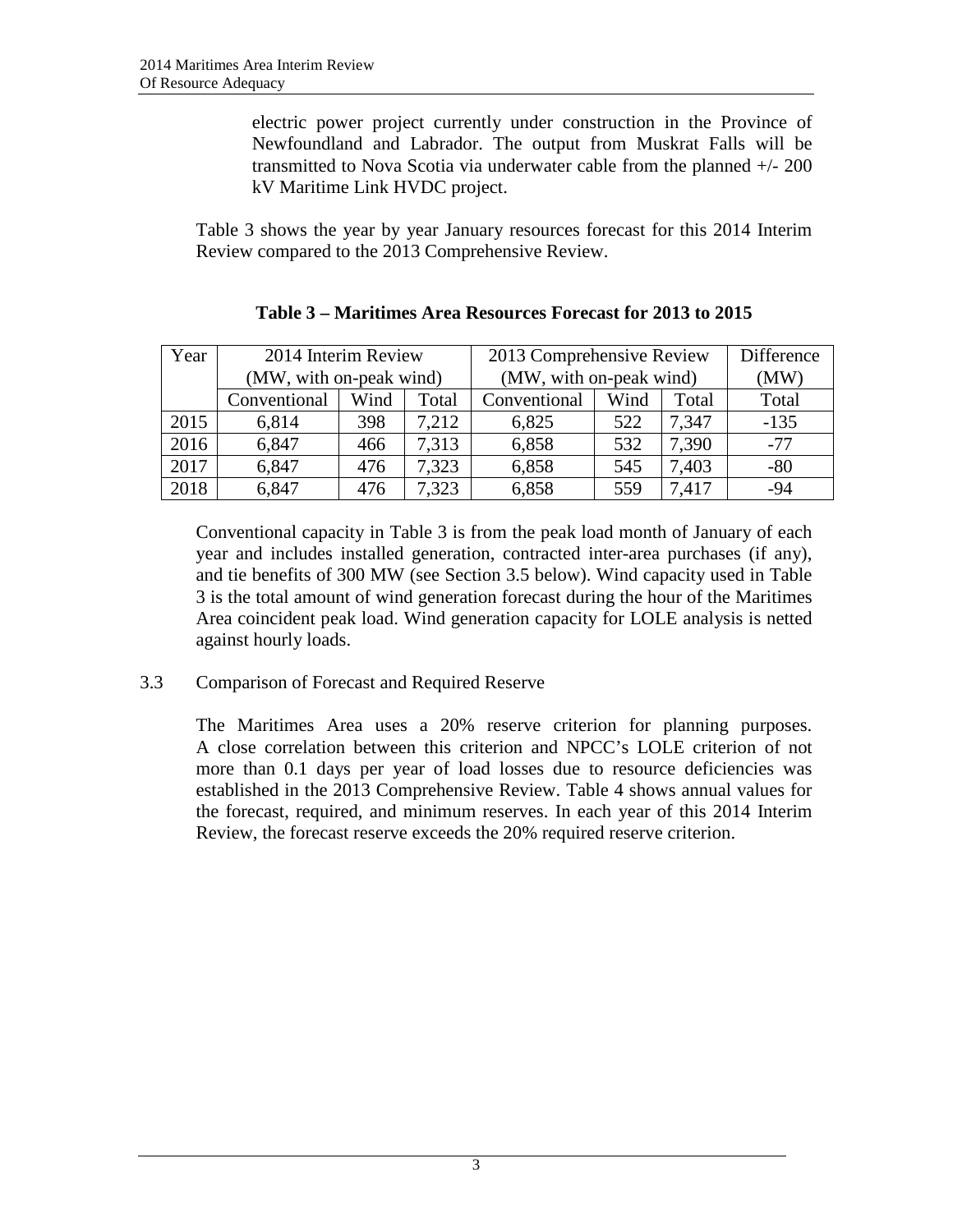electric power project currently under construction in the Province of Newfoundland and Labrador. The output from Muskrat Falls will be transmitted to Nova Scotia via underwater cable from the planned +/- 200 kV Maritime Link HVDC project.

Table 3 shows the year by year January resources forecast for this 2014 Interim Review compared to the 2013 Comprehensive Review.

| Year | 2014 Interim Review     |      |       | 2013 Comprehensive Review |      |       | Difference |
|------|-------------------------|------|-------|---------------------------|------|-------|------------|
|      | (MW, with on-peak wind) |      |       | (MW, with on-peak wind)   |      |       | (MW)       |
|      | Conventional            | Wind | Total | Conventional              | Wind | Total | Total      |
| 2015 | 6,814                   | 398  | 7,212 | 6,825                     | 522  | 7.347 | $-135$     |
| 2016 | 6,847                   | 466  | 7,313 | 6,858                     | 532  | 7,390 | $-77$      |
| 2017 | 6,847                   | 476  | 7,323 | 6,858                     | 545  | 7,403 | $-80$      |
| 2018 | 6,847                   | 476  | 7,323 | 6,858                     | 559  | 7,417 | $-94$      |

## **Table 3 – Maritimes Area Resources Forecast for 2013 to 2015**

Conventional capacity in Table 3 is from the peak load month of January of each year and includes installed generation, contracted inter-area purchases (if any), and tie benefits of 300 MW (see Section 3.5 below). Wind capacity used in Table 3 is the total amount of wind generation forecast during the hour of the Maritimes Area coincident peak load. Wind generation capacity for LOLE analysis is netted against hourly loads.

3.3 Comparison of Forecast and Required Reserve

The Maritimes Area uses a 20% reserve criterion for planning purposes. A close correlation between this criterion and NPCC's LOLE criterion of not more than 0.1 days per year of load losses due to resource deficiencies was established in the 2013 Comprehensive Review. Table 4 shows annual values for the forecast, required, and minimum reserves. In each year of this 2014 Interim Review, the forecast reserve exceeds the 20% required reserve criterion.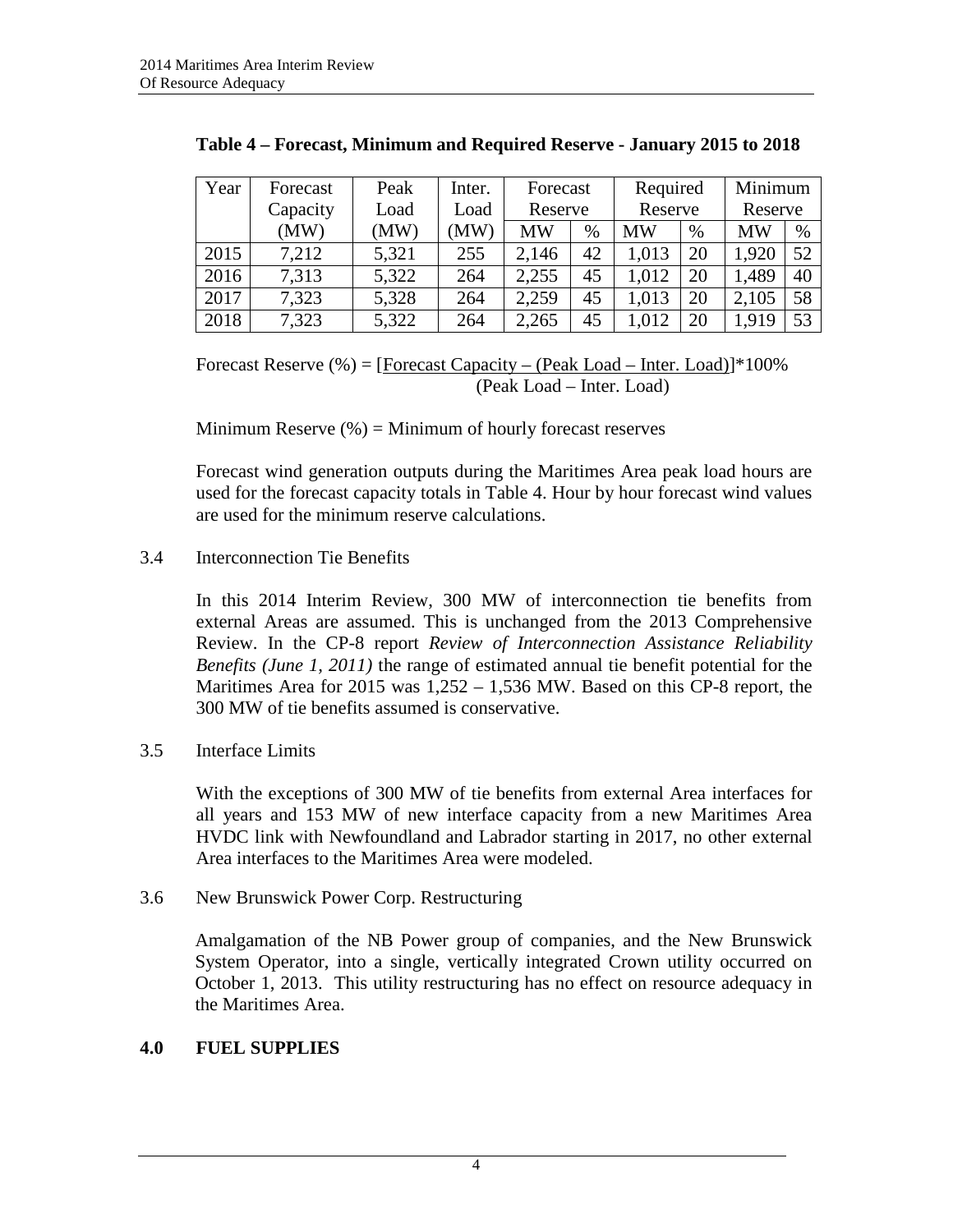| Year | Forecast | Peak  | Inter. | Forecast  |      | Required  |      | Minimum   |      |
|------|----------|-------|--------|-----------|------|-----------|------|-----------|------|
|      | Capacity | Load  | Load   | Reserve   |      | Reserve   |      | Reserve   |      |
|      | (MW)     | (MW)  | (MW)   | <b>MW</b> | $\%$ | <b>MW</b> | $\%$ | <b>MW</b> | $\%$ |
| 2015 | 7,212    | 5,321 | 255    | 2,146     | 42   | 1,013     | 20   | 1,920     | 52   |
| 2016 | 7,313    | 5,322 | 264    | 2,255     | 45   | 1.012     | 20   | 1,489     | 40   |
| 2017 | 7,323    | 5,328 | 264    | 2,259     | 45   | 1,013     | 20   | 2,105     | 58   |
| 2018 | 7,323    | 5,322 | 264    | 2,265     | 45   | 1,012     | 20   | 1.919     | 53   |

|  | Table 4 – Forecast, Minimum and Required Reserve - January 2015 to 2018 |
|--|-------------------------------------------------------------------------|
|  |                                                                         |

Forecast Reserve  $%$  = [Forecast Capacity – (Peak Load – Inter. Load)]\*100% (Peak Load – Inter. Load)

Minimum Reserve  $(\%)$  = Minimum of hourly forecast reserves

Forecast wind generation outputs during the Maritimes Area peak load hours are used for the forecast capacity totals in Table 4. Hour by hour forecast wind values are used for the minimum reserve calculations.

#### 3.4 Interconnection Tie Benefits

In this 2014 Interim Review, 300 MW of interconnection tie benefits from external Areas are assumed. This is unchanged from the 2013 Comprehensive Review. In the CP-8 report *Review of Interconnection Assistance Reliability Benefits (June 1, 2011)* the range of estimated annual tie benefit potential for the Maritimes Area for 2015 was 1,252 – 1,536 MW. Based on this CP-8 report, the 300 MW of tie benefits assumed is conservative.

3.5 Interface Limits

With the exceptions of 300 MW of tie benefits from external Area interfaces for all years and 153 MW of new interface capacity from a new Maritimes Area HVDC link with Newfoundland and Labrador starting in 2017, no other external Area interfaces to the Maritimes Area were modeled.

3.6 New Brunswick Power Corp. Restructuring

Amalgamation of the NB Power group of companies, and the New Brunswick System Operator, into a single, vertically integrated Crown utility occurred on October 1, 2013. This utility restructuring has no effect on resource adequacy in the Maritimes Area.

#### **4.0 FUEL SUPPLIES**